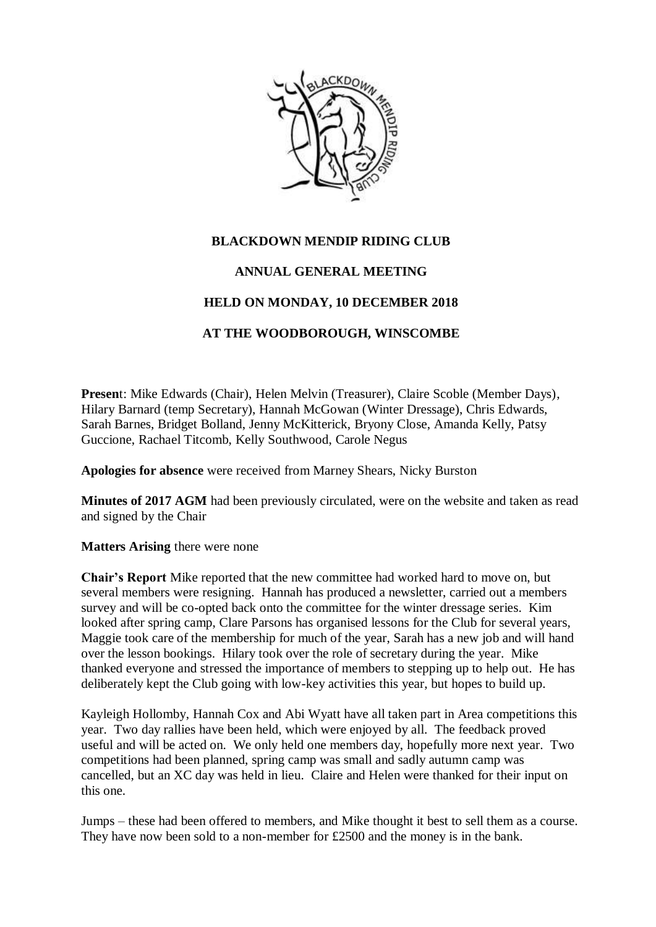

## **BLACKDOWN MENDIP RIDING CLUB**

## **ANNUAL GENERAL MEETING**

## **HELD ON MONDAY, 10 DECEMBER 2018**

## **AT THE WOODBOROUGH, WINSCOMBE**

**Presen**t: Mike Edwards (Chair), Helen Melvin (Treasurer), Claire Scoble (Member Days), Hilary Barnard (temp Secretary), Hannah McGowan (Winter Dressage), Chris Edwards, Sarah Barnes, Bridget Bolland, Jenny McKitterick, Bryony Close, Amanda Kelly, Patsy Guccione, Rachael Titcomb, Kelly Southwood, Carole Negus

**Apologies for absence** were received from Marney Shears, Nicky Burston

**Minutes of 2017 AGM** had been previously circulated, were on the website and taken as read and signed by the Chair

**Matters Arising** there were none

**Chair's Report** Mike reported that the new committee had worked hard to move on, but several members were resigning. Hannah has produced a newsletter, carried out a members survey and will be co-opted back onto the committee for the winter dressage series. Kim looked after spring camp, Clare Parsons has organised lessons for the Club for several years, Maggie took care of the membership for much of the year, Sarah has a new job and will hand over the lesson bookings. Hilary took over the role of secretary during the year. Mike thanked everyone and stressed the importance of members to stepping up to help out. He has deliberately kept the Club going with low-key activities this year, but hopes to build up.

Kayleigh Hollomby, Hannah Cox and Abi Wyatt have all taken part in Area competitions this year. Two day rallies have been held, which were enjoyed by all. The feedback proved useful and will be acted on. We only held one members day, hopefully more next year. Two competitions had been planned, spring camp was small and sadly autumn camp was cancelled, but an XC day was held in lieu. Claire and Helen were thanked for their input on this one.

Jumps – these had been offered to members, and Mike thought it best to sell them as a course. They have now been sold to a non-member for £2500 and the money is in the bank.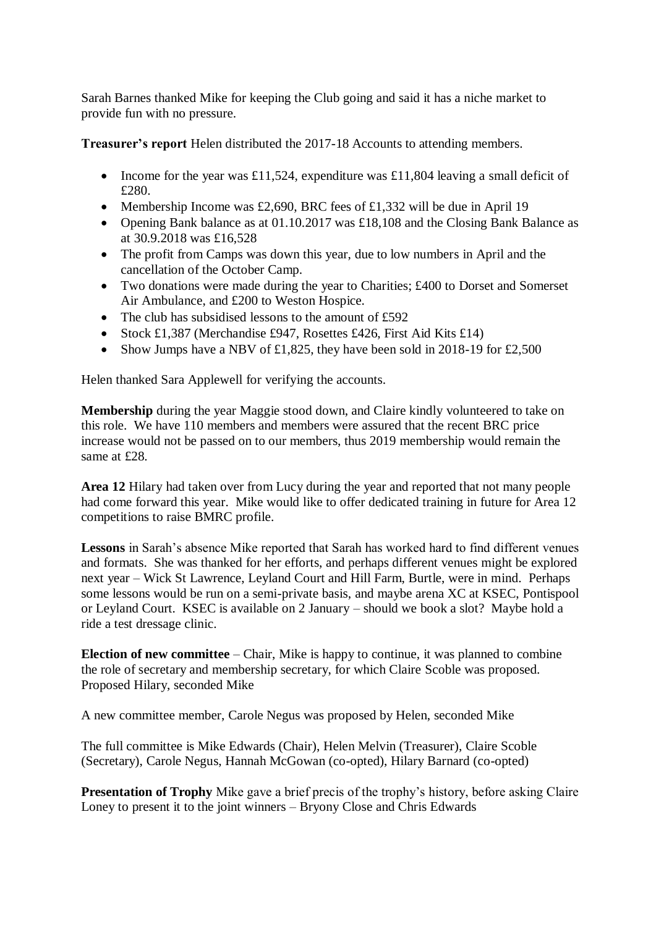Sarah Barnes thanked Mike for keeping the Club going and said it has a niche market to provide fun with no pressure.

**Treasurer's report** Helen distributed the 2017-18 Accounts to attending members.

- Income for the year was £11,524, expenditure was £11,804 leaving a small deficit of £280.
- Membership Income was £2,690, BRC fees of £1,332 will be due in April 19
- Opening Bank balance as at 01.10.2017 was £18,108 and the Closing Bank Balance as at 30.9.2018 was £16,528
- The profit from Camps was down this year, due to low numbers in April and the cancellation of the October Camp.
- Two donations were made during the year to Charities; £400 to Dorset and Somerset Air Ambulance, and £200 to Weston Hospice.
- The club has subsidised lessons to the amount of  $£592$
- Stock £1,387 (Merchandise £947, Rosettes £426, First Aid Kits £14)
- Show Jumps have a NBV of £1,825, they have been sold in 2018-19 for £2,500

Helen thanked Sara Applewell for verifying the accounts.

**Membership** during the year Maggie stood down, and Claire kindly volunteered to take on this role. We have 110 members and members were assured that the recent BRC price increase would not be passed on to our members, thus 2019 membership would remain the same at £28.

**Area 12** Hilary had taken over from Lucy during the year and reported that not many people had come forward this year. Mike would like to offer dedicated training in future for Area 12 competitions to raise BMRC profile.

**Lessons** in Sarah's absence Mike reported that Sarah has worked hard to find different venues and formats. She was thanked for her efforts, and perhaps different venues might be explored next year – Wick St Lawrence, Leyland Court and Hill Farm, Burtle, were in mind. Perhaps some lessons would be run on a semi-private basis, and maybe arena XC at KSEC, Pontispool or Leyland Court. KSEC is available on 2 January – should we book a slot? Maybe hold a ride a test dressage clinic.

**Election of new committee** – Chair, Mike is happy to continue, it was planned to combine the role of secretary and membership secretary, for which Claire Scoble was proposed. Proposed Hilary, seconded Mike

A new committee member, Carole Negus was proposed by Helen, seconded Mike

The full committee is Mike Edwards (Chair), Helen Melvin (Treasurer), Claire Scoble (Secretary), Carole Negus, Hannah McGowan (co-opted), Hilary Barnard (co-opted)

**Presentation of Trophy** Mike gave a brief precis of the trophy's history, before asking Claire Loney to present it to the joint winners – Bryony Close and Chris Edwards